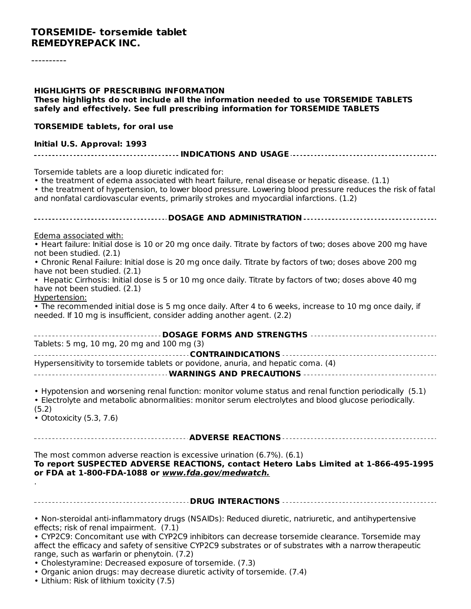#### **TORSEMIDE- torsemide tablet REMEDYREPACK INC.**

----------

| <b>HIGHLIGHTS OF PRESCRIBING INFORMATION</b><br>These highlights do not include all the information needed to use TORSEMIDE TABLETS<br>safely and effectively. See full prescribing information for TORSEMIDE TABLETS                                                                                                                                                                                                                                                                                                                                     |  |  |  |  |  |  |
|-----------------------------------------------------------------------------------------------------------------------------------------------------------------------------------------------------------------------------------------------------------------------------------------------------------------------------------------------------------------------------------------------------------------------------------------------------------------------------------------------------------------------------------------------------------|--|--|--|--|--|--|
| <b>TORSEMIDE tablets, for oral use</b>                                                                                                                                                                                                                                                                                                                                                                                                                                                                                                                    |  |  |  |  |  |  |
| Initial U.S. Approval: 1993                                                                                                                                                                                                                                                                                                                                                                                                                                                                                                                               |  |  |  |  |  |  |
|                                                                                                                                                                                                                                                                                                                                                                                                                                                                                                                                                           |  |  |  |  |  |  |
| Torsemide tablets are a loop diuretic indicated for:<br>• the treatment of edema associated with heart failure, renal disease or hepatic disease. (1.1)<br>• the treatment of hypertension, to lower blood pressure. Lowering blood pressure reduces the risk of fatal<br>and nonfatal cardiovascular events, primarily strokes and myocardial infarctions. (1.2)                                                                                                                                                                                         |  |  |  |  |  |  |
|                                                                                                                                                                                                                                                                                                                                                                                                                                                                                                                                                           |  |  |  |  |  |  |
| Edema associated with:<br>• Heart failure: Initial dose is 10 or 20 mg once daily. Titrate by factors of two; doses above 200 mg have<br>not been studied. (2.1)<br>• Chronic Renal Failure: Initial dose is 20 mg once daily. Titrate by factors of two; doses above 200 mg                                                                                                                                                                                                                                                                              |  |  |  |  |  |  |
| have not been studied. (2.1)<br>• Hepatic Cirrhosis: Initial dose is 5 or 10 mg once daily. Titrate by factors of two; doses above 40 mg<br>have not been studied. (2.1)                                                                                                                                                                                                                                                                                                                                                                                  |  |  |  |  |  |  |
| Hypertension:<br>• The recommended initial dose is 5 mg once daily. After 4 to 6 weeks, increase to 10 mg once daily, if<br>needed. If 10 mg is insufficient, consider adding another agent. (2.2)                                                                                                                                                                                                                                                                                                                                                        |  |  |  |  |  |  |
| Tablets: 5 mg, 10 mg, 20 mg and 100 mg (3)                                                                                                                                                                                                                                                                                                                                                                                                                                                                                                                |  |  |  |  |  |  |
|                                                                                                                                                                                                                                                                                                                                                                                                                                                                                                                                                           |  |  |  |  |  |  |
| Hypersensitivity to torsemide tablets or povidone, anuria, and hepatic coma. (4)                                                                                                                                                                                                                                                                                                                                                                                                                                                                          |  |  |  |  |  |  |
|                                                                                                                                                                                                                                                                                                                                                                                                                                                                                                                                                           |  |  |  |  |  |  |
| . Hypotension and worsening renal function: monitor volume status and renal function periodically (5.1)<br>. Electrolyte and metabolic abnormalities: monitor serum electrolytes and blood glucose periodically.<br>(5.2)<br>• Ototoxicity $(5.3, 7.6)$                                                                                                                                                                                                                                                                                                   |  |  |  |  |  |  |
|                                                                                                                                                                                                                                                                                                                                                                                                                                                                                                                                                           |  |  |  |  |  |  |
| The most common adverse reaction is excessive urination $(6.7\%)$ . $(6.1)$<br>To report SUSPECTED ADVERSE REACTIONS, contact Hetero Labs Limited at 1-866-495-1995<br>or FDA at 1-800-FDA-1088 or www.fda.gov/medwatch.                                                                                                                                                                                                                                                                                                                                  |  |  |  |  |  |  |
|                                                                                                                                                                                                                                                                                                                                                                                                                                                                                                                                                           |  |  |  |  |  |  |
|                                                                                                                                                                                                                                                                                                                                                                                                                                                                                                                                                           |  |  |  |  |  |  |
| • Non-steroidal anti-inflammatory drugs (NSAIDs): Reduced diuretic, natriuretic, and antihypertensive<br>effects; risk of renal impairment. (7.1)<br>• CYP2C9: Concomitant use with CYP2C9 inhibitors can decrease torsemide clearance. Torsemide may<br>affect the efficacy and safety of sensitive CYP2C9 substrates or of substrates with a narrow therapeutic<br>range, such as warfarin or phenytoin. (7.2)<br>• Cholestyramine: Decreased exposure of torsemide. (7.3)<br>• Organic anion drugs: may decrease diuretic activity of torsemide. (7.4) |  |  |  |  |  |  |

• Lithium: Risk of lithium toxicity (7.5)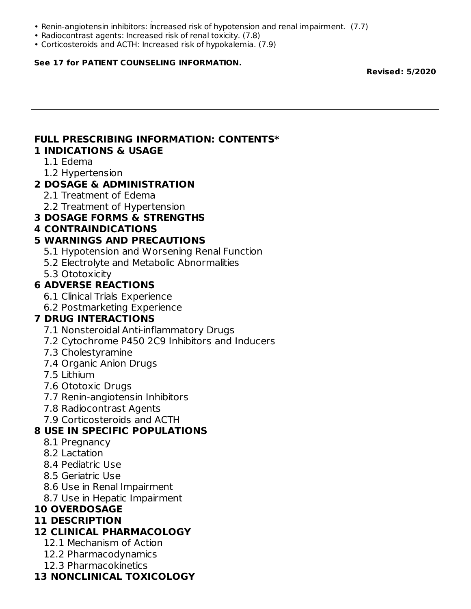- Lithium: Risk of lithium toxicity (7.5) • Renin-angiotensin inhibitors: Increased risk of hypotension and renal impairment. (7.7)
- Radiocontrast agents: Increased risk of renal toxicity. (7.8)
- Corticosteroids and ACTH: Increased risk of hypokalemia. (7.9)

#### **See 17 for PATIENT COUNSELING INFORMATION.**

**Revised: 5/2020**

#### **FULL PRESCRIBING INFORMATION: CONTENTS\* 1 INDICATIONS & USAGE**

- 1.1 Edema
- 1.2 Hypertension

#### **2 DOSAGE & ADMINISTRATION**

- 2.1 Treatment of Edema
- 2.2 Treatment of Hypertension

#### **3 DOSAGE FORMS & STRENGTHS**

**4 CONTRAINDICATIONS**

#### **5 WARNINGS AND PRECAUTIONS**

- 5.1 Hypotension and Worsening Renal Function
- 5.2 Electrolyte and Metabolic Abnormalities
- 5.3 Ototoxicity

### **6 ADVERSE REACTIONS**

- 6.1 Clinical Trials Experience
- 6.2 Postmarketing Experience

### **7 DRUG INTERACTIONS**

- 7.1 Nonsteroidal Anti-inflammatory Drugs
- 7.2 Cytochrome P450 2C9 Inhibitors and Inducers
- 7.3 Cholestyramine
- 7.4 Organic Anion Drugs
- 7.5 Lithium
- 7.6 Ototoxic Drugs
- 7.7 Renin-angiotensin Inhibitors
- 7.8 Radiocontrast Agents
- 7.9 Corticosteroids and ACTH

#### **8 USE IN SPECIFIC POPULATIONS**

- 8.1 Pregnancy
- 8.2 Lactation
- 8.4 Pediatric Use
- 8.5 Geriatric Use
- 8.6 Use in Renal Impairment
- 8.7 Use in Hepatic Impairment

#### **10 OVERDOSAGE**

#### **11 DESCRIPTION**

### **12 CLINICAL PHARMACOLOGY**

- 12.1 Mechanism of Action
- 12.2 Pharmacodynamics
- 12.3 Pharmacokinetics

#### **13 NONCLINICAL TOXICOLOGY**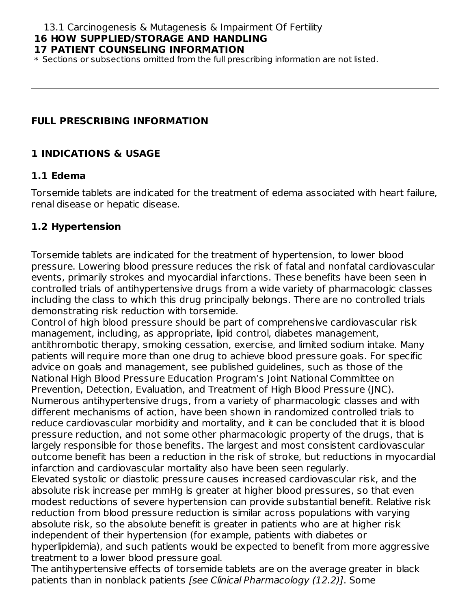#### 13.1 Carcinogenesis & Mutagenesis & Impairment Of Fertility **16 HOW SUPPLIED/STORAGE AND HANDLING 17 PATIENT COUNSELING INFORMATION**

\* Sections or subsections omitted from the full prescribing information are not listed.

#### **FULL PRESCRIBING INFORMATION**

### **1 INDICATIONS & USAGE**

#### **1.1 Edema**

Torsemide tablets are indicated for the treatment of edema associated with heart failure, renal disease or hepatic disease.

#### **1.2 Hypertension**

Torsemide tablets are indicated for the treatment of hypertension, to lower blood pressure. Lowering blood pressure reduces the risk of fatal and nonfatal cardiovascular events, primarily strokes and myocardial infarctions. These benefits have been seen in controlled trials of antihypertensive drugs from a wide variety of pharmacologic classes including the class to which this drug principally belongs. There are no controlled trials demonstrating risk reduction with torsemide.

Control of high blood pressure should be part of comprehensive cardiovascular risk management, including, as appropriate, lipid control, diabetes management, antithrombotic therapy, smoking cessation, exercise, and limited sodium intake. Many patients will require more than one drug to achieve blood pressure goals. For specific advice on goals and management, see published guidelines, such as those of the National High Blood Pressure Education Program's Joint National Committee on Prevention, Detection, Evaluation, and Treatment of High Blood Pressure (JNC). Numerous antihypertensive drugs, from a variety of pharmacologic classes and with different mechanisms of action, have been shown in randomized controlled trials to reduce cardiovascular morbidity and mortality, and it can be concluded that it is blood pressure reduction, and not some other pharmacologic property of the drugs, that is largely responsible for those benefits. The largest and most consistent cardiovascular outcome benefit has been a reduction in the risk of stroke, but reductions in myocardial infarction and cardiovascular mortality also have been seen regularly.

Elevated systolic or diastolic pressure causes increased cardiovascular risk, and the absolute risk increase per mmHg is greater at higher blood pressures, so that even modest reductions of severe hypertension can provide substantial benefit. Relative risk reduction from blood pressure reduction is similar across populations with varying absolute risk, so the absolute benefit is greater in patients who are at higher risk independent of their hypertension (for example, patients with diabetes or hyperlipidemia), and such patients would be expected to benefit from more aggressive treatment to a lower blood pressure goal.

The antihypertensive effects of torsemide tablets are on the average greater in black patients than in nonblack patients *[see Clinical Pharmacology (12.2)]*. Some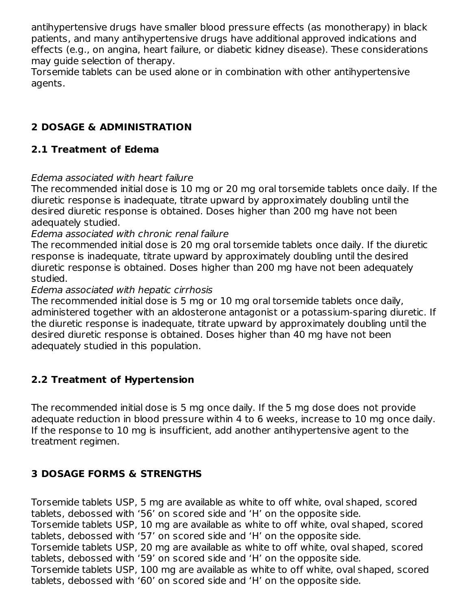antihypertensive drugs have smaller blood pressure effects (as monotherapy) in black patients, and many antihypertensive drugs have additional approved indications and effects (e.g., on angina, heart failure, or diabetic kidney disease). These considerations may guide selection of therapy.

Torsemide tablets can be used alone or in combination with other antihypertensive agents.

### **2 DOSAGE & ADMINISTRATION**

### **2.1 Treatment of Edema**

Edema associated with heart failure

The recommended initial dose is 10 mg or 20 mg oral torsemide tablets once daily. If the diuretic response is inadequate, titrate upward by approximately doubling until the desired diuretic response is obtained. Doses higher than 200 mg have not been adequately studied.

Edema associated with chronic renal failure

The recommended initial dose is 20 mg oral torsemide tablets once daily. If the diuretic response is inadequate, titrate upward by approximately doubling until the desired diuretic response is obtained. Doses higher than 200 mg have not been adequately studied.

#### Edema associated with hepatic cirrhosis

The recommended initial dose is 5 mg or 10 mg oral torsemide tablets once daily, administered together with an aldosterone antagonist or a potassium-sparing diuretic. If the diuretic response is inadequate, titrate upward by approximately doubling until the desired diuretic response is obtained. Doses higher than 40 mg have not been adequately studied in this population.

## **2.2 Treatment of Hypertension**

The recommended initial dose is 5 mg once daily. If the 5 mg dose does not provide adequate reduction in blood pressure within 4 to 6 weeks, increase to 10 mg once daily. If the response to 10 mg is insufficient, add another antihypertensive agent to the treatment regimen.

## **3 DOSAGE FORMS & STRENGTHS**

Torsemide tablets USP, 5 mg are available as white to off white, oval shaped, scored tablets, debossed with '56' on scored side and 'H' on the opposite side. Torsemide tablets USP, 10 mg are available as white to off white, oval shaped, scored tablets, debossed with '57' on scored side and 'H' on the opposite side. Torsemide tablets USP, 20 mg are available as white to off white, oval shaped, scored tablets, debossed with '59' on scored side and 'H' on the opposite side. Torsemide tablets USP, 100 mg are available as white to off white, oval shaped, scored tablets, debossed with '60' on scored side and 'H' on the opposite side.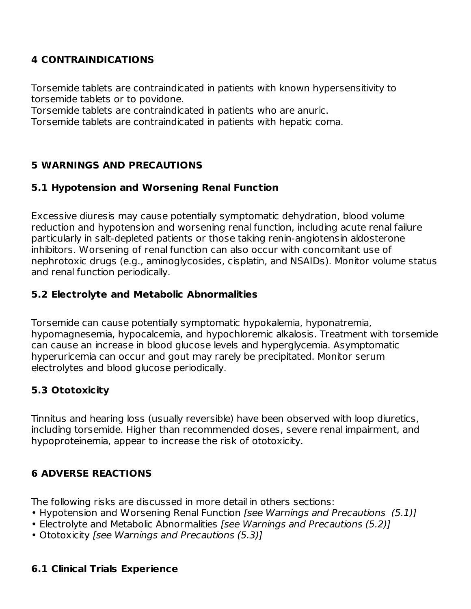### **4 CONTRAINDICATIONS**

Torsemide tablets are contraindicated in patients with known hypersensitivity to torsemide tablets or to povidone.

Torsemide tablets are contraindicated in patients who are anuric.

Torsemide tablets are contraindicated in patients with hepatic coma.

### **5 WARNINGS AND PRECAUTIONS**

### **5.1 Hypotension and Worsening Renal Function**

Excessive diuresis may cause potentially symptomatic dehydration, blood volume reduction and hypotension and worsening renal function, including acute renal failure particularly in salt-depleted patients or those taking renin-angiotensin aldosterone inhibitors. Worsening of renal function can also occur with concomitant use of nephrotoxic drugs (e.g., aminoglycosides, cisplatin, and NSAIDs). Monitor volume status and renal function periodically.

### **5.2 Electrolyte and Metabolic Abnormalities**

Torsemide can cause potentially symptomatic hypokalemia, hyponatremia, hypomagnesemia, hypocalcemia, and hypochloremic alkalosis. Treatment with torsemide can cause an increase in blood glucose levels and hyperglycemia. Asymptomatic hyperuricemia can occur and gout may rarely be precipitated. Monitor serum electrolytes and blood glucose periodically.

### **5.3 Ototoxicity**

Tinnitus and hearing loss (usually reversible) have been observed with loop diuretics, including torsemide. Higher than recommended doses, severe renal impairment, and hypoproteinemia, appear to increase the risk of ototoxicity.

### **6 ADVERSE REACTIONS**

The following risks are discussed in more detail in others sections:

- Hypotension and Worsening Renal Function [see Warnings and Precautions (5.1)]
- Electrolyte and Metabolic Abnormalities [see Warnings and Precautions (5.2)]
- Ototoxicity [see Warnings and Precautions (5.3)]

#### **6.1 Clinical Trials Experience**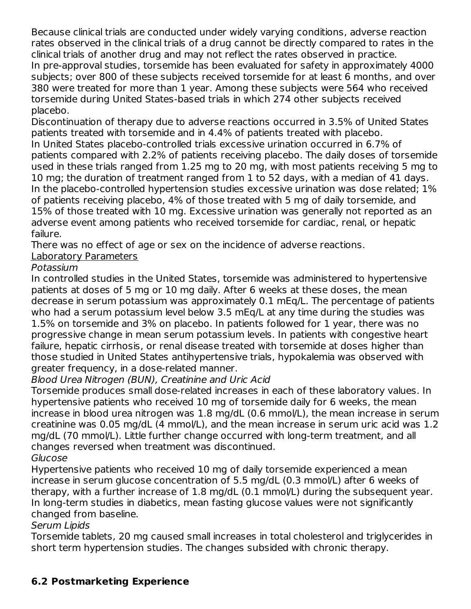Because clinical trials are conducted under widely varying conditions, adverse reaction rates observed in the clinical trials of a drug cannot be directly compared to rates in the clinical trials of another drug and may not reflect the rates observed in practice. In pre-approval studies, torsemide has been evaluated for safety in approximately 4000 subjects; over 800 of these subjects received torsemide for at least 6 months, and over 380 were treated for more than 1 year. Among these subjects were 564 who received torsemide during United States-based trials in which 274 other subjects received placebo.

Discontinuation of therapy due to adverse reactions occurred in 3.5% of United States patients treated with torsemide and in 4.4% of patients treated with placebo. In United States placebo-controlled trials excessive urination occurred in 6.7% of patients compared with 2.2% of patients receiving placebo. The daily doses of torsemide used in these trials ranged from 1.25 mg to 20 mg, with most patients receiving 5 mg to 10 mg; the duration of treatment ranged from 1 to 52 days, with a median of 41 days.

In the placebo-controlled hypertension studies excessive urination was dose related; 1% of patients receiving placebo, 4% of those treated with 5 mg of daily torsemide, and 15% of those treated with 10 mg. Excessive urination was generally not reported as an adverse event among patients who received torsemide for cardiac, renal, or hepatic failure.

There was no effect of age or sex on the incidence of adverse reactions.

Laboratory Parameters

### Potassium

In controlled studies in the United States, torsemide was administered to hypertensive patients at doses of 5 mg or 10 mg daily. After 6 weeks at these doses, the mean decrease in serum potassium was approximately 0.1 mEq/L. The percentage of patients who had a serum potassium level below 3.5 mEq/L at any time during the studies was 1.5% on torsemide and 3% on placebo. In patients followed for 1 year, there was no progressive change in mean serum potassium levels. In patients with congestive heart failure, hepatic cirrhosis, or renal disease treated with torsemide at doses higher than those studied in United States antihypertensive trials, hypokalemia was observed with greater frequency, in a dose-related manner.

### Blood Urea Nitrogen (BUN), Creatinine and Uric Acid

Torsemide produces small dose-related increases in each of these laboratory values. In hypertensive patients who received 10 mg of torsemide daily for 6 weeks, the mean increase in blood urea nitrogen was 1.8 mg/dL (0.6 mmol/L), the mean increase in serum creatinine was 0.05 mg/dL (4 mmol/L), and the mean increase in serum uric acid was 1.2 mg/dL (70 mmol/L). Little further change occurred with long-term treatment, and all changes reversed when treatment was discontinued. Glucose

Hypertensive patients who received 10 mg of daily torsemide experienced a mean increase in serum glucose concentration of 5.5 mg/dL (0.3 mmol/L) after 6 weeks of therapy, with a further increase of 1.8 mg/dL (0.1 mmol/L) during the subsequent year. In long-term studies in diabetics, mean fasting glucose values were not significantly changed from baseline.

#### Serum Lipids

Torsemide tablets, 20 mg caused small increases in total cholesterol and triglycerides in short term hypertension studies. The changes subsided with chronic therapy.

### **6.2 Postmarketing Experience**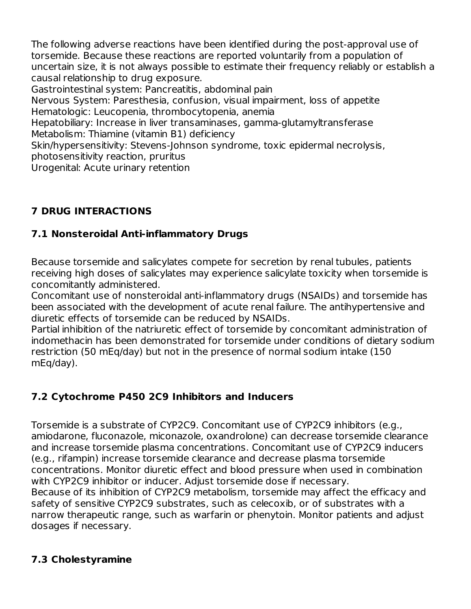The following adverse reactions have been identified during the post-approval use of torsemide. Because these reactions are reported voluntarily from a population of uncertain size, it is not always possible to estimate their frequency reliably or establish a causal relationship to drug exposure.

Gastrointestinal system: Pancreatitis, abdominal pain

Nervous System: Paresthesia, confusion, visual impairment, loss of appetite Hematologic: Leucopenia, thrombocytopenia, anemia

Hepatobiliary: Increase in liver transaminases, gamma-glutamyltransferase Metabolism: Thiamine (vitamin B1) deficiency

Skin/hypersensitivity: Stevens-Johnson syndrome, toxic epidermal necrolysis, photosensitivity reaction, pruritus

Urogenital: Acute urinary retention

## **7 DRUG INTERACTIONS**

### **7.1 Nonsteroidal Anti-inflammatory Drugs**

Because torsemide and salicylates compete for secretion by renal tubules, patients receiving high doses of salicylates may experience salicylate toxicity when torsemide is concomitantly administered.

Concomitant use of nonsteroidal anti-inflammatory drugs (NSAIDs) and torsemide has been associated with the development of acute renal failure. The antihypertensive and diuretic effects of torsemide can be reduced by NSAIDs.

Partial inhibition of the natriuretic effect of torsemide by concomitant administration of indomethacin has been demonstrated for torsemide under conditions of dietary sodium restriction (50 mEq/day) but not in the presence of normal sodium intake (150 mEq/day).

### **7.2 Cytochrome P450 2C9 Inhibitors and Inducers**

Torsemide is a substrate of CYP2C9. Concomitant use of CYP2C9 inhibitors (e.g., amiodarone, fluconazole, miconazole, oxandrolone) can decrease torsemide clearance and increase torsemide plasma concentrations. Concomitant use of CYP2C9 inducers (e.g., rifampin) increase torsemide clearance and decrease plasma torsemide concentrations. Monitor diuretic effect and blood pressure when used in combination with CYP2C9 inhibitor or inducer. Adjust torsemide dose if necessary. Because of its inhibition of CYP2C9 metabolism, torsemide may affect the efficacy and safety of sensitive CYP2C9 substrates, such as celecoxib, or of substrates with a narrow therapeutic range, such as warfarin or phenytoin. Monitor patients and adjust dosages if necessary.

### **7.3 Cholestyramine**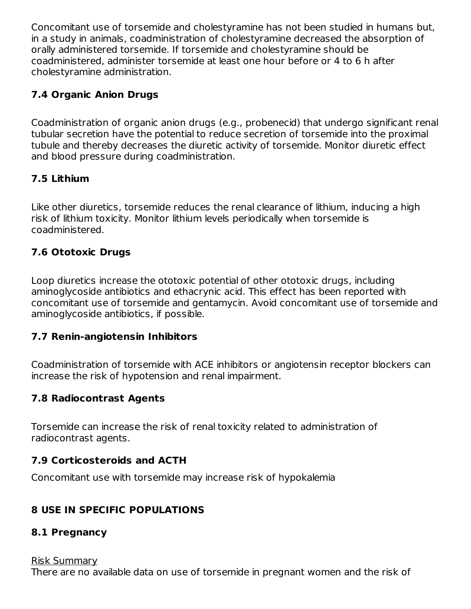Concomitant use of torsemide and cholestyramine has not been studied in humans but, in a study in animals, coadministration of cholestyramine decreased the absorption of orally administered torsemide. If torsemide and cholestyramine should be coadministered, administer torsemide at least one hour before or 4 to 6 h after cholestyramine administration.

### **7.4 Organic Anion Drugs**

Coadministration of organic anion drugs (e.g., probenecid) that undergo significant renal tubular secretion have the potential to reduce secretion of torsemide into the proximal tubule and thereby decreases the diuretic activity of torsemide. Monitor diuretic effect and blood pressure during coadministration.

### **7.5 Lithium**

Like other diuretics, torsemide reduces the renal clearance of lithium, inducing a high risk of lithium toxicity. Monitor lithium levels periodically when torsemide is coadministered.

### **7.6 Ototoxic Drugs**

Loop diuretics increase the ototoxic potential of other ototoxic drugs, including aminoglycoside antibiotics and ethacrynic acid. This effect has been reported with concomitant use of torsemide and gentamycin. Avoid concomitant use of torsemide and aminoglycoside antibiotics, if possible.

#### **7.7 Renin-angiotensin Inhibitors**

Coadministration of torsemide with ACE inhibitors or angiotensin receptor blockers can increase the risk of hypotension and renal impairment.

### **7.8 Radiocontrast Agents**

Torsemide can increase the risk of renal toxicity related to administration of radiocontrast agents.

### **7.9 Corticosteroids and ACTH**

Concomitant use with torsemide may increase risk of hypokalemia

### **8 USE IN SPECIFIC POPULATIONS**

#### **8.1 Pregnancy**

Risk Summary There are no available data on use of torsemide in pregnant women and the risk of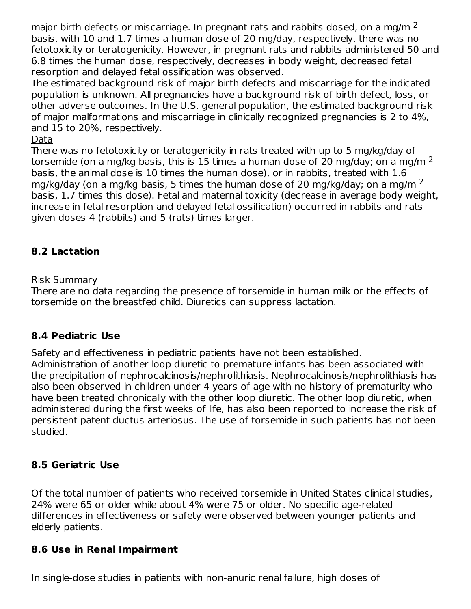major birth defects or miscarriage. In pregnant rats and rabbits dosed, on a mg/m  $^2$ basis, with 10 and 1.7 times a human dose of 20 mg/day, respectively, there was no fetotoxicity or teratogenicity. However, in pregnant rats and rabbits administered 50 and 6.8 times the human dose, respectively, decreases in body weight, decreased fetal resorption and delayed fetal ossification was observed.

The estimated background risk of major birth defects and miscarriage for the indicated population is unknown. All pregnancies have a background risk of birth defect, loss, or other adverse outcomes. In the U.S. general population, the estimated background risk of major malformations and miscarriage in clinically recognized pregnancies is 2 to 4%, and 15 to 20%, respectively.

#### Data

There was no fetotoxicity or teratogenicity in rats treated with up to 5 mg/kg/day of torsemide (on a mg/kg basis, this is 15 times a human dose of 20 mg/day; on a mg/m  $^2$ basis, the animal dose is 10 times the human dose), or in rabbits, treated with 1.6 mg/kg/day (on a mg/kg basis, 5 times the human dose of 20 mg/kg/day; on a mg/m  $^2$ basis, 1.7 times this dose). Fetal and maternal toxicity (decrease in average body weight, increase in fetal resorption and delayed fetal ossification) occurred in rabbits and rats given doses 4 (rabbits) and 5 (rats) times larger.

### **8.2 Lactation**

#### Risk Summary

There are no data regarding the presence of torsemide in human milk or the effects of torsemide on the breastfed child. Diuretics can suppress lactation.

#### **8.4 Pediatric Use**

Safety and effectiveness in pediatric patients have not been established. Administration of another loop diuretic to premature infants has been associated with the precipitation of nephrocalcinosis/nephrolithiasis. Nephrocalcinosis/nephrolithiasis has also been observed in children under 4 years of age with no history of prematurity who have been treated chronically with the other loop diuretic. The other loop diuretic, when administered during the first weeks of life, has also been reported to increase the risk of persistent patent ductus arteriosus. The use of torsemide in such patients has not been studied.

#### **8.5 Geriatric Use**

Of the total number of patients who received torsemide in United States clinical studies, 24% were 65 or older while about 4% were 75 or older. No specific age-related differences in effectiveness or safety were observed between younger patients and elderly patients.

#### **8.6 Use in Renal Impairment**

In single-dose studies in patients with non-anuric renal failure, high doses of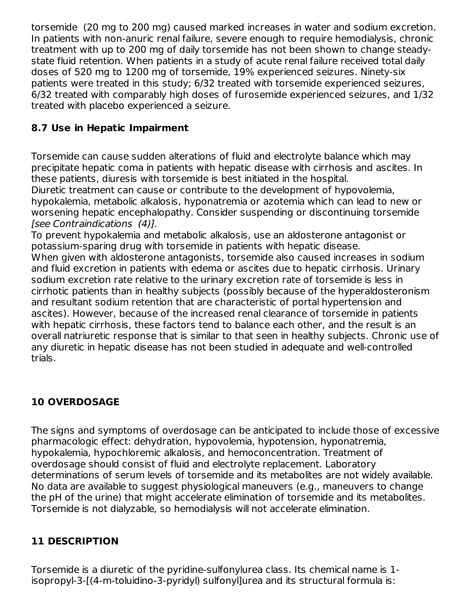torsemide (20 mg to 200 mg) caused marked increases in water and sodium excretion. In patients with non-anuric renal failure, severe enough to require hemodialysis, chronic treatment with up to 200 mg of daily torsemide has not been shown to change steadystate fluid retention. When patients in a study of acute renal failure received total daily doses of 520 mg to 1200 mg of torsemide, 19% experienced seizures. Ninety-six patients were treated in this study; 6/32 treated with torsemide experienced seizures, 6/32 treated with comparably high doses of furosemide experienced seizures, and 1/32 treated with placebo experienced a seizure.

## **8.7 Use in Hepatic Impairment**

Torsemide can cause sudden alterations of fluid and electrolyte balance which may precipitate hepatic coma in patients with hepatic disease with cirrhosis and ascites. In these patients, diuresis with torsemide is best initiated in the hospital.

Diuretic treatment can cause or contribute to the development of hypovolemia, hypokalemia, metabolic alkalosis, hyponatremia or azotemia which can lead to new or worsening hepatic encephalopathy. Consider suspending or discontinuing torsemide [see Contraindications (4)].

To prevent hypokalemia and metabolic alkalosis, use an aldosterone antagonist or potassium-sparing drug with torsemide in patients with hepatic disease.

When given with aldosterone antagonists, torsemide also caused increases in sodium and fluid excretion in patients with edema or ascites due to hepatic cirrhosis. Urinary sodium excretion rate relative to the urinary excretion rate of torsemide is less in cirrhotic patients than in healthy subjects (possibly because of the hyperaldosteronism and resultant sodium retention that are characteristic of portal hypertension and ascites). However, because of the increased renal clearance of torsemide in patients with hepatic cirrhosis, these factors tend to balance each other, and the result is an overall natriuretic response that is similar to that seen in healthy subjects. Chronic use of any diuretic in hepatic disease has not been studied in adequate and well-controlled trials.

## **10 OVERDOSAGE**

The signs and symptoms of overdosage can be anticipated to include those of excessive pharmacologic effect: dehydration, hypovolemia, hypotension, hyponatremia, hypokalemia, hypochloremic alkalosis, and hemoconcentration. Treatment of overdosage should consist of fluid and electrolyte replacement. Laboratory determinations of serum levels of torsemide and its metabolites are not widely available. No data are available to suggest physiological maneuvers (e.g., maneuvers to change the pH of the urine) that might accelerate elimination of torsemide and its metabolites. Torsemide is not dialyzable, so hemodialysis will not accelerate elimination.

## **11 DESCRIPTION**

Torsemide is a diuretic of the pyridine-sulfonylurea class. Its chemical name is 1 isopropyl-3-[(4-m-toluidino-3-pyridyl) sulfonyl]urea and its structural formula is: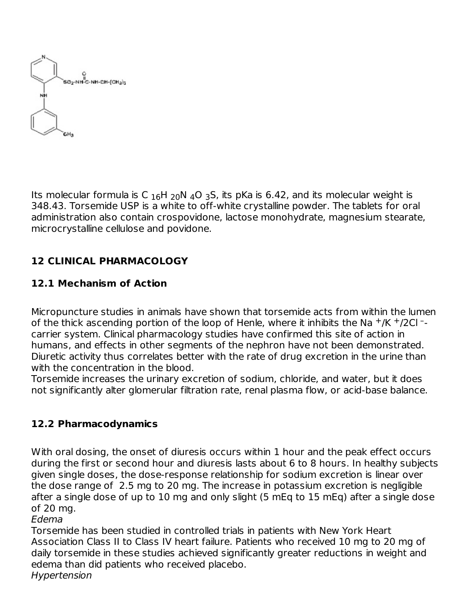

Its molecular formula is C  $_{16}$ H  $_{20}$ N  $_{4}$ O  $_{3}$ S, its pKa is 6.42, and its molecular weight is 348.43. Torsemide USP is a white to off-white crystalline powder. The tablets for oral administration also contain crospovidone, lactose monohydrate, magnesium stearate, microcrystalline cellulose and povidone.

### **12 CLINICAL PHARMACOLOGY**

### **12.1 Mechanism of Action**

Micropuncture studies in animals have shown that torsemide acts from within the lumen of the thick ascending portion of the loop of Henle, where it inhibits the Na  $^+/K^+/2C$ l -carrier system. Clinical pharmacology studies have confirmed this site of action in humans, and effects in other segments of the nephron have not been demonstrated. Diuretic activity thus correlates better with the rate of drug excretion in the urine than with the concentration in the blood.

Torsemide increases the urinary excretion of sodium, chloride, and water, but it does not significantly alter glomerular filtration rate, renal plasma flow, or acid-base balance.

#### **12.2 Pharmacodynamics**

With oral dosing, the onset of diuresis occurs within 1 hour and the peak effect occurs during the first or second hour and diuresis lasts about 6 to 8 hours. In healthy subjects given single doses, the dose-response relationship for sodium excretion is linear over the dose range of 2.5 mg to 20 mg. The increase in potassium excretion is negligible after a single dose of up to 10 mg and only slight (5 mEq to 15 mEq) after a single dose of 20 mg.

Edema

Torsemide has been studied in controlled trials in patients with New York Heart Association Class II to Class IV heart failure. Patients who received 10 mg to 20 mg of daily torsemide in these studies achieved significantly greater reductions in weight and edema than did patients who received placebo.

Hypertension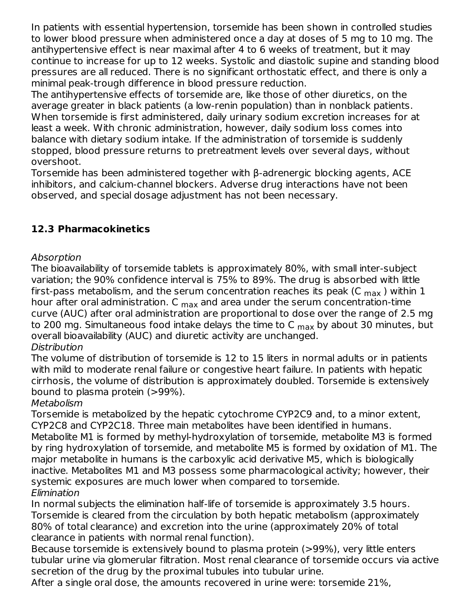In patients with essential hypertension, torsemide has been shown in controlled studies to lower blood pressure when administered once a day at doses of 5 mg to 10 mg. The antihypertensive effect is near maximal after 4 to 6 weeks of treatment, but it may continue to increase for up to 12 weeks. Systolic and diastolic supine and standing blood pressures are all reduced. There is no significant orthostatic effect, and there is only a minimal peak-trough difference in blood pressure reduction.

The antihypertensive effects of torsemide are, like those of other diuretics, on the average greater in black patients (a low-renin population) than in nonblack patients. When torsemide is first administered, daily urinary sodium excretion increases for at least a week. With chronic administration, however, daily sodium loss comes into balance with dietary sodium intake. If the administration of torsemide is suddenly stopped, blood pressure returns to pretreatment levels over several days, without overshoot.

Torsemide has been administered together with β-adrenergic blocking agents, ACE inhibitors, and calcium-channel blockers. Adverse drug interactions have not been observed, and special dosage adjustment has not been necessary.

## **12.3 Pharmacokinetics**

### Absorption

The bioavailability of torsemide tablets is approximately 80%, with small inter-subject variation; the 90% confidence interval is 75% to 89%. The drug is absorbed with little first-pass metabolism, and the serum concentration reaches its peak (C  $_{\sf max}$  ) within  $1$ hour after oral administration. C <sub>max</sub> and area under the serum concentration-time curve (AUC) after oral administration are proportional to dose over the range of 2.5 mg to 200 mg. Simultaneous food intake delays the time to C <sub>max</sub> by about 30 minutes, but overall bioavailability (AUC) and diuretic activity are unchanged.

### **Distribution**

The volume of distribution of torsemide is 12 to 15 liters in normal adults or in patients with mild to moderate renal failure or congestive heart failure. In patients with hepatic cirrhosis, the volume of distribution is approximately doubled. Torsemide is extensively bound to plasma protein (>99%).

### Metabolism

Torsemide is metabolized by the hepatic cytochrome CYP2C9 and, to a minor extent, CYP2C8 and CYP2C18. Three main metabolites have been identified in humans. Metabolite M1 is formed by methyl-hydroxylation of torsemide, metabolite M3 is formed by ring hydroxylation of torsemide, and metabolite M5 is formed by oxidation of M1. The major metabolite in humans is the carboxylic acid derivative M5, which is biologically inactive. Metabolites M1 and M3 possess some pharmacological activity; however, their systemic exposures are much lower when compared to torsemide. Elimination

In normal subjects the elimination half-life of torsemide is approximately 3.5 hours. Torsemide is cleared from the circulation by both hepatic metabolism (approximately 80% of total clearance) and excretion into the urine (approximately 20% of total clearance in patients with normal renal function).

Because torsemide is extensively bound to plasma protein (>99%), very little enters tubular urine via glomerular filtration. Most renal clearance of torsemide occurs via active secretion of the drug by the proximal tubules into tubular urine.

After a single oral dose, the amounts recovered in urine were: torsemide 21%,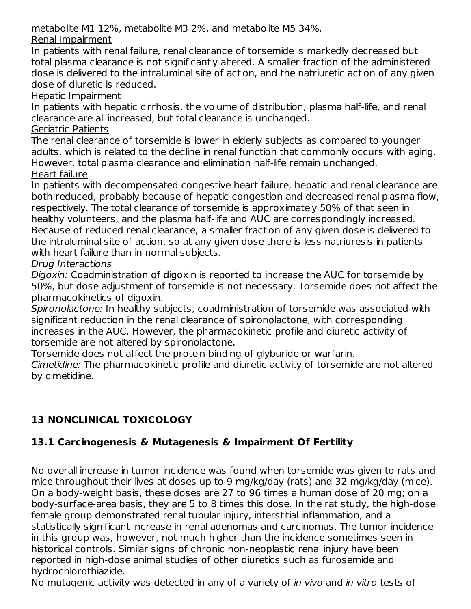After a single oral dose, the amounts recovered in urine were: torsemide 21%, metabolite M1 12%, metabolite M3 2%, and metabolite M5 34%.

Renal Impairment

In patients with renal failure, renal clearance of torsemide is markedly decreased but total plasma clearance is not significantly altered. A smaller fraction of the administered dose is delivered to the intraluminal site of action, and the natriuretic action of any given dose of diuretic is reduced.

Hepatic Impairment

In patients with hepatic cirrhosis, the volume of distribution, plasma half-life, and renal clearance are all increased, but total clearance is unchanged.

Geriatric Patients

The renal clearance of torsemide is lower in elderly subjects as compared to younger adults, which is related to the decline in renal function that commonly occurs with aging. However, total plasma clearance and elimination half-life remain unchanged. Heart failure

In patients with decompensated congestive heart failure, hepatic and renal clearance are both reduced, probably because of hepatic congestion and decreased renal plasma flow, respectively. The total clearance of torsemide is approximately 50% of that seen in healthy volunteers, and the plasma half-life and AUC are correspondingly increased. Because of reduced renal clearance, a smaller fraction of any given dose is delivered to the intraluminal site of action, so at any given dose there is less natriuresis in patients with heart failure than in normal subjects.

### Drug Interactions

Digoxin: Coadministration of digoxin is reported to increase the AUC for torsemide by 50%, but dose adjustment of torsemide is not necessary. Torsemide does not affect the pharmacokinetics of digoxin.

Spironolactone: In healthy subjects, coadministration of torsemide was associated with significant reduction in the renal clearance of spironolactone, with corresponding increases in the AUC. However, the pharmacokinetic profile and diuretic activity of torsemide are not altered by spironolactone.

Torsemide does not affect the protein binding of glyburide or warfarin.

Cimetidine: The pharmacokinetic profile and diuretic activity of torsemide are not altered by cimetidine.

# **13 NONCLINICAL TOXICOLOGY**

# **13.1 Carcinogenesis & Mutagenesis & Impairment Of Fertility**

No overall increase in tumor incidence was found when torsemide was given to rats and mice throughout their lives at doses up to 9 mg/kg/day (rats) and 32 mg/kg/day (mice). On a body-weight basis, these doses are 27 to 96 times a human dose of 20 mg; on a body-surface-area basis, they are 5 to 8 times this dose. In the rat study, the high-dose female group demonstrated renal tubular injury, interstitial inflammation, and a statistically significant increase in renal adenomas and carcinomas. The tumor incidence in this group was, however, not much higher than the incidence sometimes seen in historical controls. Similar signs of chronic non-neoplastic renal injury have been reported in high-dose animal studies of other diuretics such as furosemide and hydrochlorothiazide.

No mutagenic activity was detected in any of a variety of in vivo and in vitro tests of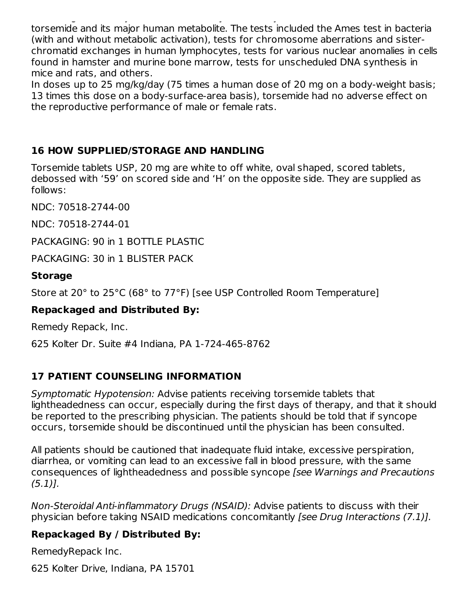No mutagenic activity was detected in any of a variety of in vivo and in vitro tests of torsemide and its major human metabolite. The tests included the Ames test in bacteria (with and without metabolic activation), tests for chromosome aberrations and sisterchromatid exchanges in human lymphocytes, tests for various nuclear anomalies in cells found in hamster and murine bone marrow, tests for unscheduled DNA synthesis in mice and rats, and others.

In doses up to 25 mg/kg/day (75 times a human dose of 20 mg on a body-weight basis; 13 times this dose on a body-surface-area basis), torsemide had no adverse effect on the reproductive performance of male or female rats.

### **16 HOW SUPPLIED/STORAGE AND HANDLING**

Torsemide tablets USP, 20 mg are white to off white, oval shaped, scored tablets, debossed with '59' on scored side and 'H' on the opposite side. They are supplied as follows:

NDC: 70518-2744-00

NDC: 70518-2744-01

PACKAGING: 90 in 1 BOTTLE PLASTIC

PACKAGING: 30 in 1 BLISTER PACK

#### **Storage**

Store at 20° to 25°C (68° to 77°F) [see USP Controlled Room Temperature]

#### **Repackaged and Distributed By:**

Remedy Repack, Inc.

625 Kolter Dr. Suite #4 Indiana, PA 1-724-465-8762

#### **17 PATIENT COUNSELING INFORMATION**

Symptomatic Hypotension: Advise patients receiving torsemide tablets that lightheadedness can occur, especially during the first days of therapy, and that it should be reported to the prescribing physician. The patients should be told that if syncope occurs, torsemide should be discontinued until the physician has been consulted.

All patients should be cautioned that inadequate fluid intake, excessive perspiration, diarrhea, or vomiting can lead to an excessive fall in blood pressure, with the same consequences of lightheadedness and possible syncope [see Warnings and Precautions (5.1)].

Non-Steroidal Anti-inflammatory Drugs (NSAID): Advise patients to discuss with their physician before taking NSAID medications concomitantly [see Drug Interactions (7.1)].

#### **Repackaged By / Distributed By:**

RemedyRepack Inc.

625 Kolter Drive, Indiana, PA 15701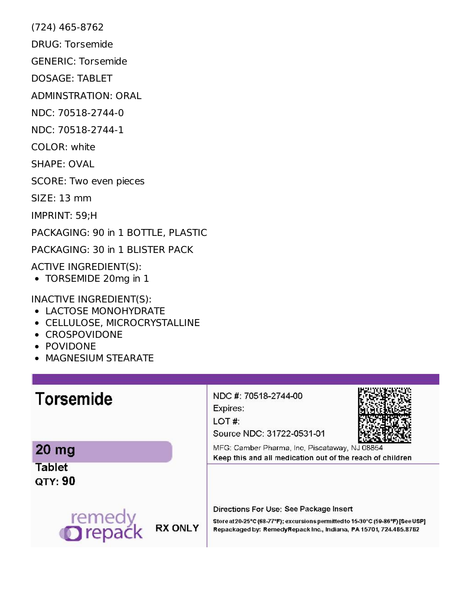(724) 465-8762

DRUG: Torsemide

GENERIC: Torsemide

DOSAGE: TABLET

ADMINSTRATION: ORAL

NDC: 70518-2744-0

NDC: 70518-2744-1

COLOR: white

SHAPE: OVAL

SCORE: Two even pieces

SIZE: 13 mm

IMPRINT: 59;H

PACKAGING: 90 in 1 BOTTLE, PLASTIC

PACKAGING: 30 in 1 BLISTER PACK

ACTIVE INGREDIENT(S):

TORSEMIDE 20mg in 1

INACTIVE INGREDIENT(S):

- LACTOSE MONOHYDRATE
- CELLULOSE, MICROCRYSTALLINE
- **CROSPOVIDONE**
- POVIDONE
- **MAGNESIUM STEARATE**

| Torsemide                            | NDC #: 70518-2744-00<br>Expires:<br>LOT#:<br>Source NDC: 31722-0531-01                                                                                                                         |  |  |  |  |
|--------------------------------------|------------------------------------------------------------------------------------------------------------------------------------------------------------------------------------------------|--|--|--|--|
| 20 <sub>mg</sub>                     | MFG: Camber Pharma, Inc, Piscataway, NJ 08854<br>Keep this and all medication out of the reach of children                                                                                     |  |  |  |  |
| <b>Tablet</b><br>QTY: 90             |                                                                                                                                                                                                |  |  |  |  |
| remed <sub>)</sub><br><b>RX ONLY</b> | Directions For Use: See Package Insert<br>Store at 20-25°C (68-77°F); excursions permitted to 15-30°C (59-86°F) [See USP]<br>Repackaged by: RemedyRepack Inc., Indiana, PA 15701, 724.465.8762 |  |  |  |  |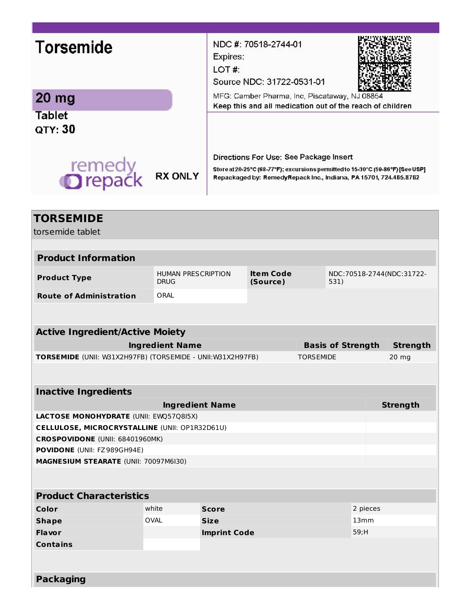| <b>Torsemide</b><br>20 mg                                                                        |                                          | Expires:<br>LOT#:   | NDC #: 70518-2744-01<br>Source NDC: 31722-0531-01<br>MFG: Camber Pharma, Inc, Piscataway, NJ 08854                                                                                             |  |                          |                           |                 |  |
|--------------------------------------------------------------------------------------------------|------------------------------------------|---------------------|------------------------------------------------------------------------------------------------------------------------------------------------------------------------------------------------|--|--------------------------|---------------------------|-----------------|--|
| <b>Tablet</b>                                                                                    |                                          |                     | Keep this and all medication out of the reach of children                                                                                                                                      |  |                          |                           |                 |  |
| QTY: 30                                                                                          |                                          |                     |                                                                                                                                                                                                |  |                          |                           |                 |  |
| remedy<br><b>Orepack</b>                                                                         | <b>RX ONLY</b>                           |                     | Directions For Use: See Package Insert<br>Store at 20-25°C (68-77°F); excursions permitted to 15-30°C (59-86°F) [See USP]<br>Repackaged by: RemedyRepack Inc., Indiana, PA 15701, 724.465.8762 |  |                          |                           |                 |  |
| <b>TORSEMIDE</b><br>torsemide tablet                                                             |                                          |                     |                                                                                                                                                                                                |  |                          |                           |                 |  |
| <b>Product Information</b>                                                                       |                                          |                     |                                                                                                                                                                                                |  |                          |                           |                 |  |
| <b>Product Type</b>                                                                              | <b>HUMAN PRESCRIPTION</b><br><b>DRUG</b> |                     | <b>Item Code</b><br>531)<br>(Source)                                                                                                                                                           |  |                          | NDC:70518-2744(NDC:31722- |                 |  |
| <b>Route of Administration</b>                                                                   | ORAL                                     |                     |                                                                                                                                                                                                |  |                          |                           |                 |  |
| <b>Active Ingredient/Active Moiety</b>                                                           |                                          |                     |                                                                                                                                                                                                |  |                          |                           |                 |  |
|                                                                                                  | <b>Ingredient Name</b>                   |                     |                                                                                                                                                                                                |  | <b>Basis of Strength</b> |                           | <b>Strength</b> |  |
| <b>TORSEMIDE</b> (UNII: W31X2H97FB) (TORSEMIDE - UNII:W31X2H97FB)<br><b>TORSEMIDE</b><br>$20$ mg |                                          |                     |                                                                                                                                                                                                |  |                          |                           |                 |  |
| <b>Inactive Ingredients</b>                                                                      |                                          |                     |                                                                                                                                                                                                |  |                          |                           |                 |  |
|                                                                                                  | <b>Ingredient Name</b>                   |                     |                                                                                                                                                                                                |  |                          |                           | <b>Strength</b> |  |
| LACTOSE MONOHYDRATE (UNII: EWQ57Q8I5X)                                                           |                                          |                     |                                                                                                                                                                                                |  |                          |                           |                 |  |
| CELLULOSE, MICROCRYSTALLINE (UNII: OP1R32D61U)                                                   |                                          |                     |                                                                                                                                                                                                |  |                          |                           |                 |  |
| CROSPOVIDONE (UNII: 68401960MK)                                                                  |                                          |                     |                                                                                                                                                                                                |  |                          |                           |                 |  |
| POVIDONE (UNII: FZ989GH94E)<br><b>MAGNESIUM STEARATE (UNII: 70097M6I30)</b>                      |                                          |                     |                                                                                                                                                                                                |  |                          |                           |                 |  |
|                                                                                                  |                                          |                     |                                                                                                                                                                                                |  |                          |                           |                 |  |
| <b>Product Characteristics</b>                                                                   |                                          |                     |                                                                                                                                                                                                |  |                          |                           |                 |  |
| Color                                                                                            | white                                    | <b>Score</b>        |                                                                                                                                                                                                |  |                          | 2 pieces                  |                 |  |
| <b>Shape</b>                                                                                     | <b>OVAL</b>                              | <b>Size</b>         |                                                                                                                                                                                                |  |                          |                           | 13mm            |  |
| <b>Flavor</b>                                                                                    |                                          | <b>Imprint Code</b> |                                                                                                                                                                                                |  | 59;H                     |                           |                 |  |
| <b>Contains</b>                                                                                  |                                          |                     |                                                                                                                                                                                                |  |                          |                           |                 |  |
| <b>Packaging</b>                                                                                 |                                          |                     |                                                                                                                                                                                                |  |                          |                           |                 |  |